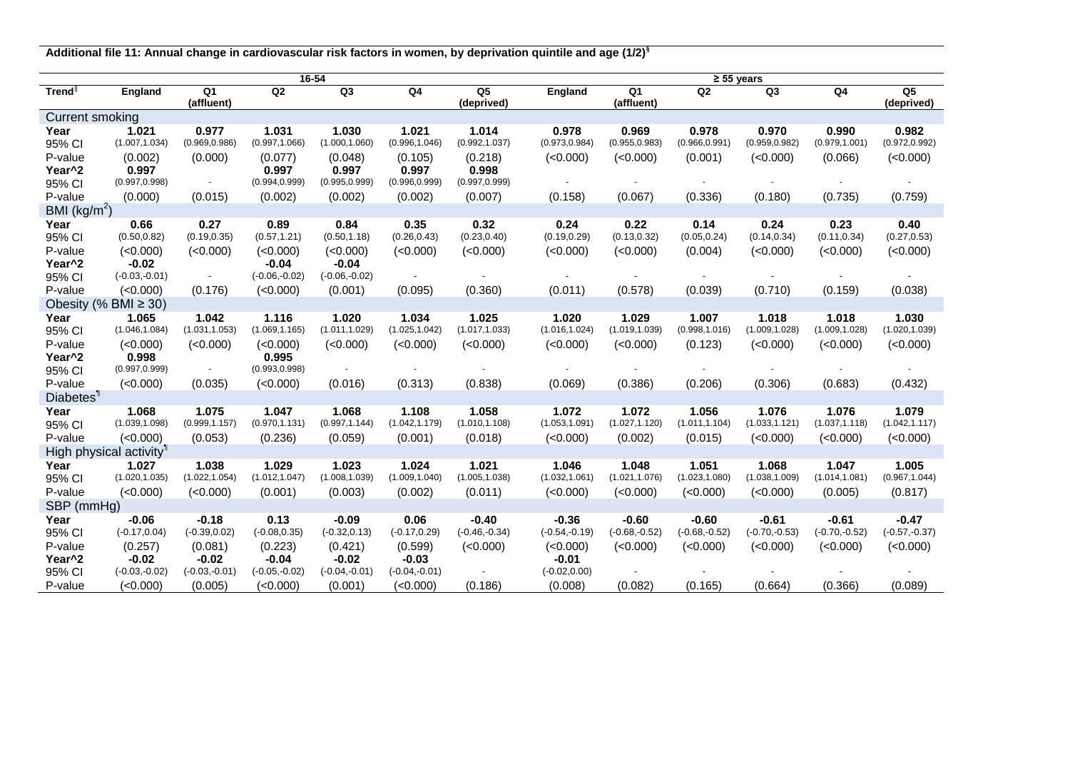**Additional file 11: Annual change in cardiovascular risk factors in women, by deprivation quintile and age (1/2)§**

|                              | 16-54                               |                              |                         |                 |                 |                              |                 | $\geq 55$ years              |                 |                 |                 |                              |  |  |
|------------------------------|-------------------------------------|------------------------------|-------------------------|-----------------|-----------------|------------------------------|-----------------|------------------------------|-----------------|-----------------|-----------------|------------------------------|--|--|
| Trend <sup>⊪</sup>           | England                             | Q <sub>1</sub><br>(affluent) | Q2                      | Q3              | Q4              | Q <sub>5</sub><br>(deprived) | England         | Q <sub>1</sub><br>(affluent) | Q2              | Q <sub>3</sub>  | Q <sub>4</sub>  | Q <sub>5</sub><br>(deprived) |  |  |
| Current smoking              |                                     |                              |                         |                 |                 |                              |                 |                              |                 |                 |                 |                              |  |  |
| Year                         | 1.021                               | 0.977                        | 1.031                   | 1.030           | 1.021           | 1.014                        | 0.978           | 0.969                        | 0.978           | 0.970           | 0.990           | 0.982                        |  |  |
| 95% CI                       | (1.007, 1.034)                      | (0.969, 0.986)               | (0.997, 1.066)          | (1.000, 1.060)  | (0.996, 1.046)  | (0.992, 1.037)               | (0.973, 0.984)  | (0.955, 0.983)               | (0.966, 0.991)  | (0.959, 0.982)  | (0.979, 1.001)  | (0.972, 0.992)               |  |  |
| P-value                      | (0.002)                             | (0.000)                      | (0.077)                 | (0.048)         | (0.105)         | (0.218)                      | (<0.000)        | (<0.000)                     | (0.001)         | (<0.000)        | (0.066)         | (<0.000)                     |  |  |
| Year <sup>^2</sup>           | 0.997                               |                              | 0.997                   | 0.997           | 0.997           | 0.998                        |                 |                              |                 |                 |                 |                              |  |  |
| 95% CI                       | (0.997, 0.998)                      |                              | (0.994, 0.999)          | (0.995, 0.999)  | (0.996, 0.999)  | (0.997, 0.999)               |                 |                              |                 |                 |                 |                              |  |  |
| P-value                      | (0.000)                             | (0.015)                      | (0.002)                 | (0.002)         | (0.002)         | (0.007)                      | (0.158)         | (0.067)                      | (0.336)         | (0.180)         | (0.735)         | (0.759)                      |  |  |
| BMI $(kg/m2)$                |                                     |                              |                         |                 |                 |                              |                 |                              |                 |                 |                 |                              |  |  |
| Year                         | 0.66                                | 0.27                         | 0.89                    | 0.84            | 0.35            | 0.32                         | 0.24            | 0.22                         | 0.14            | 0.24            | 0.23            | 0.40                         |  |  |
| 95% CI                       | (0.50, 0.82)                        | (0.19, 0.35)                 | (0.57, 1.21)            | (0.50, 1.18)    | (0.26, 0.43)    | (0.23, 0.40)                 | (0.19, 0.29)    | (0.13, 0.32)                 | (0.05, 0.24)    | (0.14, 0.34)    | (0.11, 0.34)    | (0.27, 0.53)                 |  |  |
| P-value                      | (<0.000)                            | (<0.000)                     | (<0.000)                | (<0.000)        | (<0.000)        | (<0.000)                     | (<0.000)        | (<0.000)                     | (0.004)         | (<0.000)        | (<0.000)        | (<0.000)                     |  |  |
| Year <sup>^2</sup>           | $-0.02$                             |                              | $-0.04$                 | $-0.04$         |                 |                              |                 |                              |                 |                 |                 |                              |  |  |
| 95% CI                       | $(-0.03,-0.01)$                     | $\sim$                       | $(-0.06,-0.02)$         | $(-0.06,-0.02)$ |                 |                              |                 |                              |                 |                 |                 |                              |  |  |
| P-value                      | (<0.000)                            | (0.176)                      | (<0.000)                | (0.001)         | (0.095)         | (0.360)                      | (0.011)         | (0.578)                      | (0.039)         | (0.710)         | (0.159)         | (0.038)                      |  |  |
| Obesity (% BMI $\geq$ 30)    |                                     |                              |                         |                 |                 |                              |                 |                              |                 |                 |                 |                              |  |  |
| Year                         | 1.065                               | 1.042                        | 1.116                   | 1.020           | 1.034           | 1.025                        | 1.020           | 1.029                        | 1.007           | 1.018           | 1.018           | 1.030                        |  |  |
| 95% CI                       | (1.046, 1.084)                      | (1.031, 1.053)               | (1.069, 1.165)          | (1.011, 1.029)  | (1.025, 1.042)  | (1.017, 1.033)               | (1.016, 1.024)  | (1.019, 1.039)               | (0.998, 1.016)  | (1.009, 1.028)  | (1.009, 1.028)  | (1.020, 1.039)               |  |  |
| P-value                      | (<0.000)                            | (<0.000)                     | (<0.000)                | (<0.000)        | (<0.000)        | (<0.000)                     | (<0.000)        | (<0.000)                     | (0.123)         | (<0.000)        | (<0.000)        | (<0.000)                     |  |  |
| Year <sup>^2</sup><br>95% CI | 0.998<br>(0.997, 0.999)             | $\sim$                       | 0.995<br>(0.993, 0.998) |                 |                 |                              |                 |                              |                 |                 |                 |                              |  |  |
| P-value                      | (<0.000)                            | (0.035)                      | (<0.000)                | (0.016)         | (0.313)         | (0.838)                      | (0.069)         | (0.386)                      | (0.206)         | (0.306)         | (0.683)         | (0.432)                      |  |  |
| Diabetes <sup>1</sup>        |                                     |                              |                         |                 |                 |                              |                 |                              |                 |                 |                 |                              |  |  |
| Year                         | 1.068                               | 1.075                        | 1.047                   | 1.068           | 1.108           | 1.058                        | 1.072           | 1.072                        | 1.056           | 1.076           | 1.076           | 1.079                        |  |  |
| 95% CI                       | (1.039, 1.098)                      | (0.999, 1.157)               | (0.970, 1.131)          | (0.997, 1.144)  | (1.042, 1.179)  | (1.010, 1.108)               | (1.053, 1.091)  | (1.027, 1.120)               | (1.011, 1.104)  | (1.033, 1.121)  | (1.037, 1.118)  | (1.042, 1.117)               |  |  |
| P-value                      | (<0.000)                            | (0.053)                      | (0.236)                 | (0.059)         | (0.001)         | (0.018)                      | (<0.000)        | (0.002)                      | (0.015)         | (<0.000)        | (<0.000)        | (<0.000)                     |  |  |
|                              | High physical activity <sup>1</sup> |                              |                         |                 |                 |                              |                 |                              |                 |                 |                 |                              |  |  |
| Year                         | 1.027                               | 1.038                        | 1.029                   | 1.023           | 1.024           | 1.021                        | 1.046           | 1.048                        | 1.051           | 1.068           | 1.047           | 1.005                        |  |  |
| 95% CI                       | (1.020, 1.035)                      | (1.022, 1.054)               | (1.012, 1.047)          | (1.008, 1.039)  | (1.009, 1.040)  | (1.005, 1.038)               | (1.032, 1.061)  | (1.021, 1.076)               | (1.023, 1.080)  | (1.038, 1.009)  | (1.014, 1.081)  | (0.967, 1.044)               |  |  |
| P-value                      | (<0.000)                            | (<0.000)                     | (0.001)                 | (0.003)         | (0.002)         | (0.011)                      | (<0.000)        | (<0.000)                     | (<0.000)        | (<0.000)        | (0.005)         | (0.817)                      |  |  |
| SBP (mmHg)                   |                                     |                              |                         |                 |                 |                              |                 |                              |                 |                 |                 |                              |  |  |
| Year                         | $-0.06$                             | $-0.18$                      | 0.13                    | $-0.09$         | 0.06            | $-0.40$                      | $-0.36$         | $-0.60$                      | $-0.60$         | $-0.61$         | $-0.61$         | $-0.47$                      |  |  |
| 95% CI                       | $(-0.17, 0.04)$                     | $(-0.39, 0.02)$              | $(-0.08, 0.35)$         | $(-0.32, 0.13)$ | $(-0.17, 0.29)$ | $(-0.46,-0.34)$              | $(-0.54,-0.19)$ | $(-0.68,-0.52)$              | $(-0.68,-0.52)$ | $(-0.70,-0.53)$ | $(-0.70,-0.52)$ | $(-0.57,-0.37)$              |  |  |
| P-value                      | (0.257)                             | (0.081)                      | (0.223)                 | (0.421)         | (0.599)         | (<0.000)                     | (<0.000)        | (<0.000)                     | (<0.000)        | (<0.000)        | (<0.000)        | (<0.000)                     |  |  |
| Year <sup>^2</sup>           | $-0.02$                             | $-0.02$                      | $-0.04$                 | $-0.02$         | $-0.03$         |                              | $-0.01$         |                              |                 |                 |                 |                              |  |  |
| 95% CI                       | $(-0.03,-0.02)$                     | $(-0.03,-0.01)$              | $(-0.05,-0.02)$         | $(-0.04,-0.01)$ | $(-0.04,-0.01)$ | $\sim$                       | $(-0.02, 0.00)$ |                              |                 |                 |                 |                              |  |  |
| P-value                      | (<0.000)                            | (0.005)                      | (<0.000)                | (0.001)         | (<0.000)        | (0.186)                      | (0.008)         | (0.082)                      | (0.165)         | (0.664)         | (0.366)         | (0.089)                      |  |  |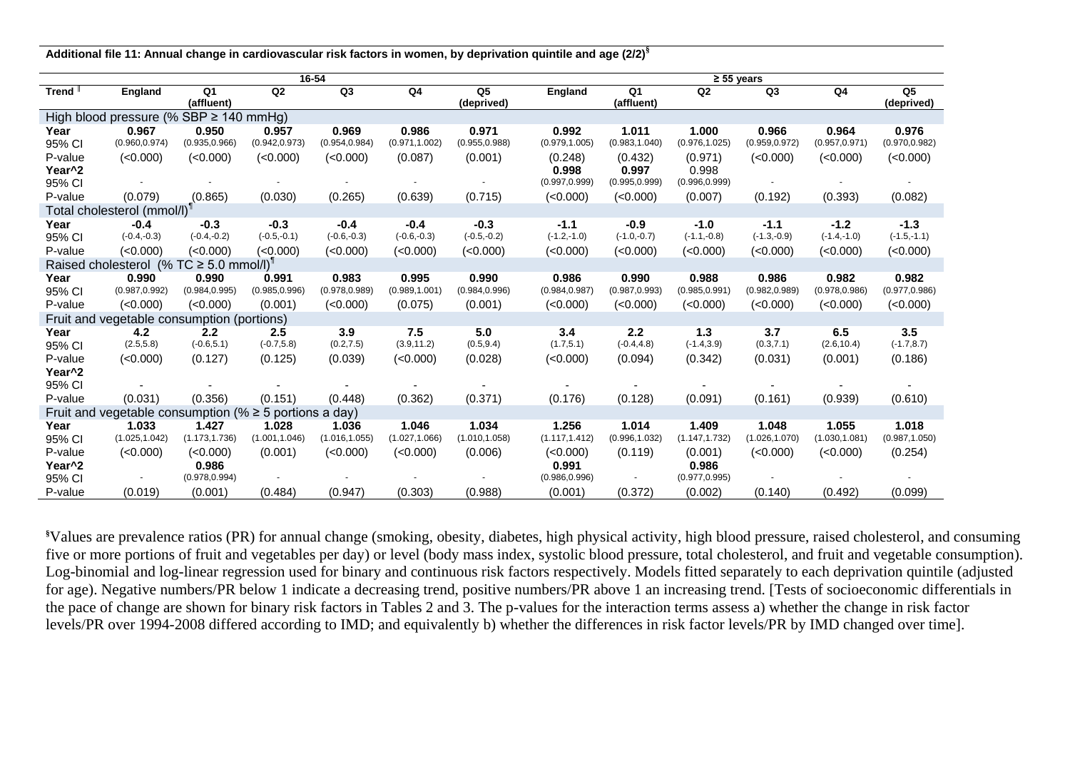**Additional file 11: Annual change in cardiovascular risk factors in women, by deprivation quintile and age (2/2)§**

|                                                             | 16-54          |                  |                |                |                |                              |                | $≥ 55 \text{ years}$ |                |                |                |                              |  |  |
|-------------------------------------------------------------|----------------|------------------|----------------|----------------|----------------|------------------------------|----------------|----------------------|----------------|----------------|----------------|------------------------------|--|--|
| Trend <sup>I</sup>                                          | <b>England</b> | Q1<br>(affluent) | Q <sub>2</sub> | Q <sub>3</sub> | Q4             | Q <sub>5</sub><br>(deprived) | England        | Q1<br>(affluent)     | Q <sub>2</sub> | Q <sub>3</sub> | Q4             | Q <sub>5</sub><br>(deprived) |  |  |
| High blood pressure (% SBP $\geq$ 140 mmHg)                 |                |                  |                |                |                |                              |                |                      |                |                |                |                              |  |  |
| Year                                                        | 0.967          | 0.950            | 0.957          | 0.969          | 0.986          | 0.971                        | 0.992          | 1.011                | 1.000          | 0.966          | 0.964          | 0.976                        |  |  |
| 95% CI                                                      | (0.960, 0.974) | (0.935, 0.966)   | (0.942, 0.973) | (0.954, 0.984) | (0.971, 1.002) | (0.955, 0.988)               | (0.979, 1.005) | (0.983, 1.040)       | (0.976, 1.025) | (0.959, 0.972) | (0.957, 0.971) | (0.970, 0.982)               |  |  |
| P-value                                                     | (<0.000)       | (<0.000)         | (<0.000)       | (<0.000)       | (0.087)        | (0.001)                      | (0.248)        | (0.432)              | (0.971)        | (<0.000)       | (<0.000)       | (<0.000)                     |  |  |
| Year <sup>^2</sup>                                          |                |                  |                |                |                |                              | 0.998          | 0.997                | 0.998          |                |                |                              |  |  |
| 95% CI                                                      |                |                  |                |                |                |                              | (0.997, 0.999) | (0.995, 0.999)       | (0.996, 0.999) |                |                |                              |  |  |
| P-value                                                     | (0.079)        | (0.865)          | (0.030)        | (0.265)        | (0.639)        | (0.715)                      | (<0.000)       | (<0.000)             | (0.007)        | (0.192)        | (0.393)        | (0.082)                      |  |  |
| Total cholesterol (mmol/l)                                  |                |                  |                |                |                |                              |                |                      |                |                |                |                              |  |  |
| Year                                                        | $-0.4$         | $-0.3$           | $-0.3$         | $-0.4$         | $-0.4$         | $-0.3$                       | $-1.1$         | $-0.9$               | $-1.0$         | $-1.1$         | $-1.2$         | $-1.3$                       |  |  |
| 95% CI                                                      | $(-0.4,-0.3)$  | $(-0.4,-0.2)$    | $(-0.5,-0.1)$  | $(-0.6,-0.3)$  | $(-0.6,-0.3)$  | $(-0.5,-0.2)$                | $(-1.2,-1.0)$  | $(-1.0,-0.7)$        | $(-1.1,-0.8)$  | $(-1.3,-0.9)$  | $(-1.4,-1.0)$  | $(-1.5,-1.1)$                |  |  |
| P-value                                                     | (<0.000)       | (<0.000)         | (<0.000)       | (0.000)        | (<0.000)       | (<0.000)                     | (<0.000)       | (<0.000)             | (<0.000)       | (<0.000)       | (<0.000)       | (<0.000)                     |  |  |
| Raised cholesterol (% TC $\geq$ 5.0 mmol/l) <sup>1</sup>    |                |                  |                |                |                |                              |                |                      |                |                |                |                              |  |  |
| Year                                                        | 0.990          | 0.990            | 0.991          | 0.983          | 0.995          | 0.990                        | 0.986          | 0.990                | 0.988          | 0.986          | 0.982          | 0.982                        |  |  |
| 95% CI                                                      | (0.987, 0.992) | (0.984, 0.995)   | (0.985, 0.996) | (0.978, 0.989) | (0.989, 1.001) | (0.984, 0.996)               | (0.984, 0.987) | (0.987, 0.993)       | (0.985, 0.991) | (0.982, 0.989) | (0.978, 0.986) | (0.977, 0.986)               |  |  |
| P-value                                                     | (<0.000)       | (<0.000)         | (0.001)        | (<0.000)       | (0.075)        | (0.001)                      | (<0.000)       | (<0.000)             | (<0.000)       | (<0.000)       | (<0.000)       | (<0.000)                     |  |  |
| Fruit and vegetable consumption (portions)                  |                |                  |                |                |                |                              |                |                      |                |                |                |                              |  |  |
| Year                                                        | 4.2            | 2.2              | 2.5            | 3.9            | 7.5            | 5.0                          | 3.4            | 2.2                  | 1.3            | 3.7            | 6.5            | 3.5                          |  |  |
| 95% CI                                                      | (2.5, 5.8)     | $(-0.6, 5.1)$    | $(-0.7, 5.8)$  | (0.2, 7.5)     | (3.9, 11.2)    | (0.5, 9.4)                   | (1.7, 5.1)     | $(-0.4, 4.8)$        | $(-1.4, 3.9)$  | (0.3, 7.1)     | (2.6, 10.4)    | $(-1.7, 8.7)$                |  |  |
| P-value                                                     | (<0.000)       | (0.127)          | (0.125)        | (0.039)        | (<0.000)       | (0.028)                      | (<0.000)       | (0.094)              | (0.342)        | (0.031)        | (0.001)        | (0.186)                      |  |  |
| Year <sup>^2</sup>                                          |                |                  |                |                |                |                              |                |                      |                |                |                |                              |  |  |
| 95% CI                                                      |                |                  |                |                |                |                              |                |                      |                |                |                |                              |  |  |
| P-value                                                     | (0.031)        | (0.356)          | (0.151)        | (0.448)        | (0.362)        | (0.371)                      | (0.176)        | (0.128)              | (0.091)        | (0.161)        | (0.939)        | (0.610)                      |  |  |
| Fruit and vegetable consumption (% $\geq$ 5 portions a day) |                |                  |                |                |                |                              |                |                      |                |                |                |                              |  |  |
| Year                                                        | 1.033          | 1.427            | 1.028          | 1.036          | 1.046          | 1.034                        | 1.256          | 1.014                | 1.409          | 1.048          | 1.055          | 1.018                        |  |  |
| 95% CI                                                      | (1.025, 1.042) | (1.173, 1.736)   | (1.001, 1.046) | (1.016, 1.055) | (1.027, 1.066) | (1.010, 1.058)               | (1.117, 1.412) | (0.996, 1.032)       | (1.147, 1.732) | (1.026, 1.070) | (1.030, 1.081) | (0.987, 1.050)               |  |  |
| P-value                                                     | (<0.000)       | (<0.000)         | (0.001)        | (<0.000)       | (<0.000)       | (0.006)                      | (<0.000)       | (0.119)              | (0.001)        | (<0.000)       | (<0.000)       | (0.254)                      |  |  |
| Year <sup>^2</sup>                                          |                | 0.986            |                |                |                |                              | 0.991          |                      | 0.986          |                |                |                              |  |  |
| 95% CI                                                      |                | (0.978, 0.994)   |                |                |                |                              | (0.986, 0.996) |                      | (0.977, 0.995) |                |                |                              |  |  |
| P-value                                                     | (0.019)        | (0.001)          | (0.484)        | (0.947)        | (0.303)        | (0.988)                      | (0.001)        | (0.372)              | (0.002)        | (0.140)        | (0.492)        | (0.099)                      |  |  |

**§**Values are prevalence ratios (PR) for annual change (smoking, obesity, diabetes, high physical activity, high blood pressure, raised cholesterol, and consuming five or more portions of fruit and vegetables per day) or level (body mass index, systolic blood pressure, total cholesterol, and fruit and vegetable consumption). Log-binomial and log-linear regression used for binary and continuous risk factors respectively. Models fitted separately to each deprivation quintile (adjusted for age). Negative numbers/PR below 1 indicate a decreasing trend, positive numbers/PR above 1 an increasing trend. [Tests of socioeconomic differentials in the pace of change are shown for binary risk factors in Tables 2 and 3. The p-values for the interaction terms assess a) whether the change in risk factor levels/PR over 1994-2008 differed according to IMD; and equivalently b) whether the differences in risk factor levels/PR by IMD changed over time].